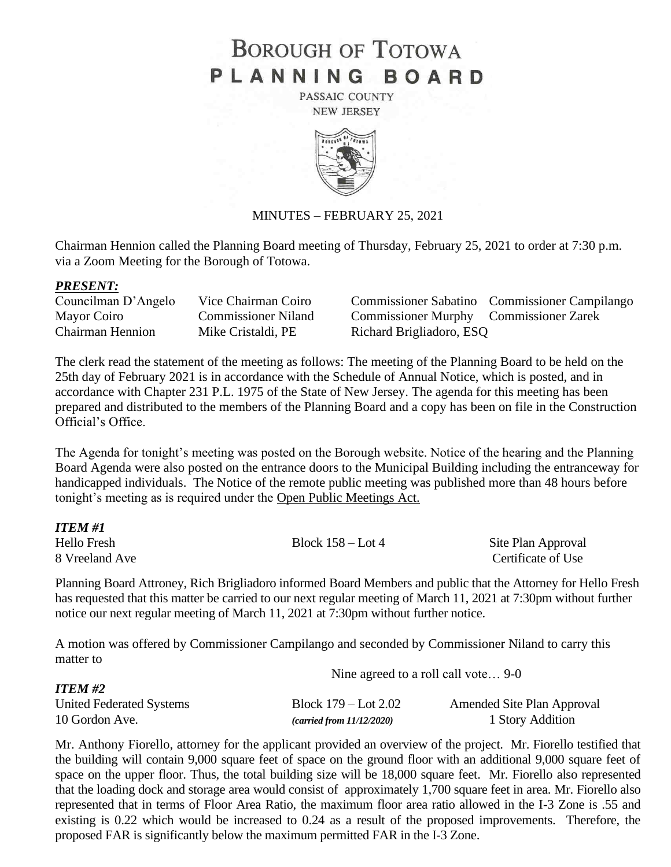# **BOROUGH OF TOTOWA** PLANNING BOARD

PASSAIC COUNTY **NEW JERSEY** 



#### MINUTES – FEBRUARY 25, 2021

Chairman Hennion called the Planning Board meeting of Thursday, February 25, 2021 to order at 7:30 p.m. via a Zoom Meeting for the Borough of Totowa.

#### *PRESENT:*

| Councilman D'Angelo | Vice Chairman Coirc        |
|---------------------|----------------------------|
| Mayor Coiro         | <b>Commissioner Nilano</b> |
| Chairman Hennion    | Mike Cristaldi, PE         |

commissioner Sabatino Commissioner Campilango d Commissioner Murphy Commissioner Zarek Richard Brigliadoro, ESQ

The clerk read the statement of the meeting as follows: The meeting of the Planning Board to be held on the 25th day of February 2021 is in accordance with the Schedule of Annual Notice, which is posted, and in accordance with Chapter 231 P.L. 1975 of the State of New Jersey. The agenda for this meeting has been prepared and distributed to the members of the Planning Board and a copy has been on file in the Construction Official's Office.

The Agenda for tonight's meeting was posted on the Borough website. Notice of the hearing and the Planning Board Agenda were also posted on the entrance doors to the Municipal Building including the entranceway for handicapped individuals. The Notice of the remote public meeting was published more than 48 hours before tonight's meeting as is required under the Open Public Meetings Act.

| ITEM #1        |                     |                    |
|----------------|---------------------|--------------------|
| Hello Fresh    | Block $158 -$ Lot 4 | Site Plan Approval |
| 8 Vreeland Ave |                     | Certificate of Use |

Planning Board Attroney, Rich Brigliadoro informed Board Members and public that the Attorney for Hello Fresh has requested that this matter be carried to our next regular meeting of March 11, 2021 at 7:30pm without further notice our next regular meeting of March 11, 2021 at 7:30pm without further notice.

A motion was offered by Commissioner Campilango and seconded by Commissioner Niland to carry this matter to

|                          | Nine agreed to a roll call vote 9-0 |                            |
|--------------------------|-------------------------------------|----------------------------|
| <b>ITEM #2</b>           |                                     |                            |
| United Federated Systems | Block $179 -$ Lot $2.02$            | Amended Site Plan Approval |
| 10 Gordon Ave.           | (carried from 11/12/2020)           | 1 Story Addition           |

Mr. Anthony Fiorello, attorney for the applicant provided an overview of the project. Mr. Fiorello testified that the building will contain 9,000 square feet of space on the ground floor with an additional 9,000 square feet of space on the upper floor. Thus, the total building size will be 18,000 square feet. Mr. Fiorello also represented that the loading dock and storage area would consist of approximately 1,700 square feet in area. Mr. Fiorello also represented that in terms of Floor Area Ratio, the maximum floor area ratio allowed in the I-3 Zone is .55 and existing is 0.22 which would be increased to 0.24 as a result of the proposed improvements. Therefore, the proposed FAR is significantly below the maximum permitted FAR in the I-3 Zone.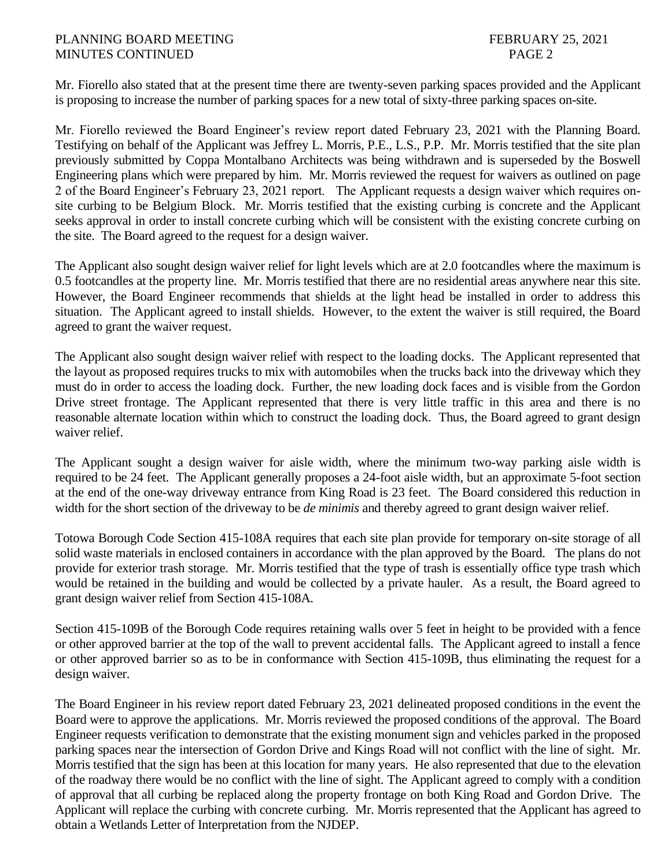Mr. Fiorello also stated that at the present time there are twenty-seven parking spaces provided and the Applicant is proposing to increase the number of parking spaces for a new total of sixty-three parking spaces on-site.

Mr. Fiorello reviewed the Board Engineer's review report dated February 23, 2021 with the Planning Board. Testifying on behalf of the Applicant was Jeffrey L. Morris, P.E., L.S., P.P. Mr. Morris testified that the site plan previously submitted by Coppa Montalbano Architects was being withdrawn and is superseded by the Boswell Engineering plans which were prepared by him. Mr. Morris reviewed the request for waivers as outlined on page 2 of the Board Engineer's February 23, 2021 report. The Applicant requests a design waiver which requires onsite curbing to be Belgium Block. Mr. Morris testified that the existing curbing is concrete and the Applicant seeks approval in order to install concrete curbing which will be consistent with the existing concrete curbing on the site. The Board agreed to the request for a design waiver.

The Applicant also sought design waiver relief for light levels which are at 2.0 footcandles where the maximum is 0.5 footcandles at the property line. Mr. Morris testified that there are no residential areas anywhere near this site. However, the Board Engineer recommends that shields at the light head be installed in order to address this situation. The Applicant agreed to install shields. However, to the extent the waiver is still required, the Board agreed to grant the waiver request.

The Applicant also sought design waiver relief with respect to the loading docks. The Applicant represented that the layout as proposed requires trucks to mix with automobiles when the trucks back into the driveway which they must do in order to access the loading dock. Further, the new loading dock faces and is visible from the Gordon Drive street frontage. The Applicant represented that there is very little traffic in this area and there is no reasonable alternate location within which to construct the loading dock. Thus, the Board agreed to grant design waiver relief.

The Applicant sought a design waiver for aisle width, where the minimum two-way parking aisle width is required to be 24 feet. The Applicant generally proposes a 24-foot aisle width, but an approximate 5-foot section at the end of the one-way driveway entrance from King Road is 23 feet. The Board considered this reduction in width for the short section of the driveway to be *de minimis* and thereby agreed to grant design waiver relief.

Totowa Borough Code Section 415-108A requires that each site plan provide for temporary on-site storage of all solid waste materials in enclosed containers in accordance with the plan approved by the Board. The plans do not provide for exterior trash storage. Mr. Morris testified that the type of trash is essentially office type trash which would be retained in the building and would be collected by a private hauler. As a result, the Board agreed to grant design waiver relief from Section 415-108A.

Section 415-109B of the Borough Code requires retaining walls over 5 feet in height to be provided with a fence or other approved barrier at the top of the wall to prevent accidental falls. The Applicant agreed to install a fence or other approved barrier so as to be in conformance with Section 415-109B, thus eliminating the request for a design waiver.

The Board Engineer in his review report dated February 23, 2021 delineated proposed conditions in the event the Board were to approve the applications. Mr. Morris reviewed the proposed conditions of the approval. The Board Engineer requests verification to demonstrate that the existing monument sign and vehicles parked in the proposed parking spaces near the intersection of Gordon Drive and Kings Road will not conflict with the line of sight. Mr. Morris testified that the sign has been at this location for many years. He also represented that due to the elevation of the roadway there would be no conflict with the line of sight. The Applicant agreed to comply with a condition of approval that all curbing be replaced along the property frontage on both King Road and Gordon Drive. The Applicant will replace the curbing with concrete curbing. Mr. Morris represented that the Applicant has agreed to obtain a Wetlands Letter of Interpretation from the NJDEP.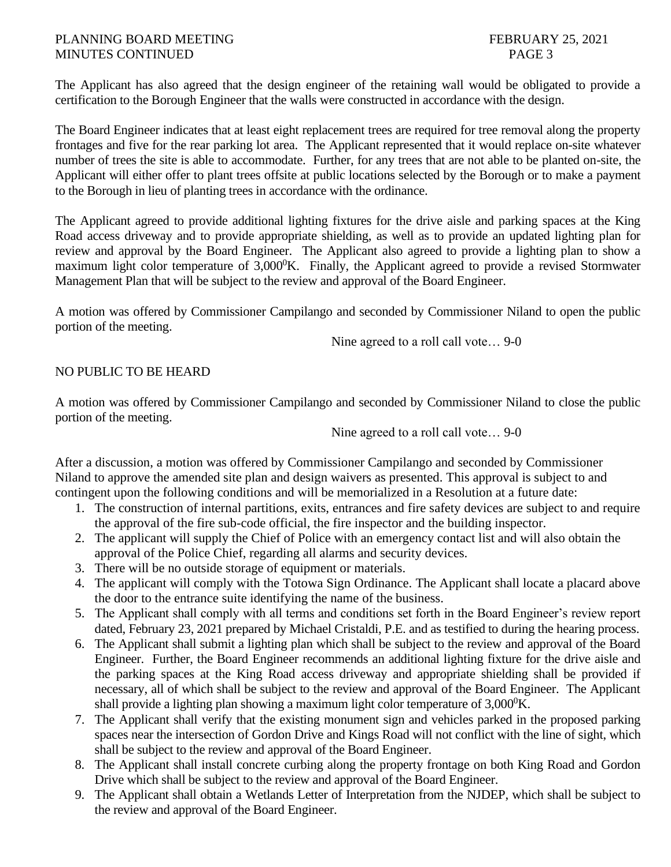The Applicant has also agreed that the design engineer of the retaining wall would be obligated to provide a certification to the Borough Engineer that the walls were constructed in accordance with the design.

The Board Engineer indicates that at least eight replacement trees are required for tree removal along the property frontages and five for the rear parking lot area. The Applicant represented that it would replace on-site whatever number of trees the site is able to accommodate. Further, for any trees that are not able to be planted on-site, the Applicant will either offer to plant trees offsite at public locations selected by the Borough or to make a payment to the Borough in lieu of planting trees in accordance with the ordinance.

The Applicant agreed to provide additional lighting fixtures for the drive aisle and parking spaces at the King Road access driveway and to provide appropriate shielding, as well as to provide an updated lighting plan for review and approval by the Board Engineer. The Applicant also agreed to provide a lighting plan to show a maximum light color temperature of  $3,000^0$ K. Finally, the Applicant agreed to provide a revised Stormwater Management Plan that will be subject to the review and approval of the Board Engineer.

A motion was offered by Commissioner Campilango and seconded by Commissioner Niland to open the public portion of the meeting.

Nine agreed to a roll call vote… 9-0

## NO PUBLIC TO BE HEARD

A motion was offered by Commissioner Campilango and seconded by Commissioner Niland to close the public portion of the meeting.

Nine agreed to a roll call vote… 9-0

After a discussion, a motion was offered by Commissioner Campilango and seconded by Commissioner Niland to approve the amended site plan and design waivers as presented. This approval is subject to and contingent upon the following conditions and will be memorialized in a Resolution at a future date:

- 1. The construction of internal partitions, exits, entrances and fire safety devices are subject to and require the approval of the fire sub-code official, the fire inspector and the building inspector.
- 2. The applicant will supply the Chief of Police with an emergency contact list and will also obtain the approval of the Police Chief, regarding all alarms and security devices.
- 3. There will be no outside storage of equipment or materials.
- 4. The applicant will comply with the Totowa Sign Ordinance. The Applicant shall locate a placard above the door to the entrance suite identifying the name of the business.
- 5. The Applicant shall comply with all terms and conditions set forth in the Board Engineer's review report dated, February 23, 2021 prepared by Michael Cristaldi, P.E. and as testified to during the hearing process.
- 6. The Applicant shall submit a lighting plan which shall be subject to the review and approval of the Board Engineer. Further, the Board Engineer recommends an additional lighting fixture for the drive aisle and the parking spaces at the King Road access driveway and appropriate shielding shall be provided if necessary, all of which shall be subject to the review and approval of the Board Engineer. The Applicant shall provide a lighting plan showing a maximum light color temperature of  $3,000^0$ K.
- 7. The Applicant shall verify that the existing monument sign and vehicles parked in the proposed parking spaces near the intersection of Gordon Drive and Kings Road will not conflict with the line of sight, which shall be subject to the review and approval of the Board Engineer.
- 8. The Applicant shall install concrete curbing along the property frontage on both King Road and Gordon Drive which shall be subject to the review and approval of the Board Engineer.
- 9. The Applicant shall obtain a Wetlands Letter of Interpretation from the NJDEP, which shall be subject to the review and approval of the Board Engineer.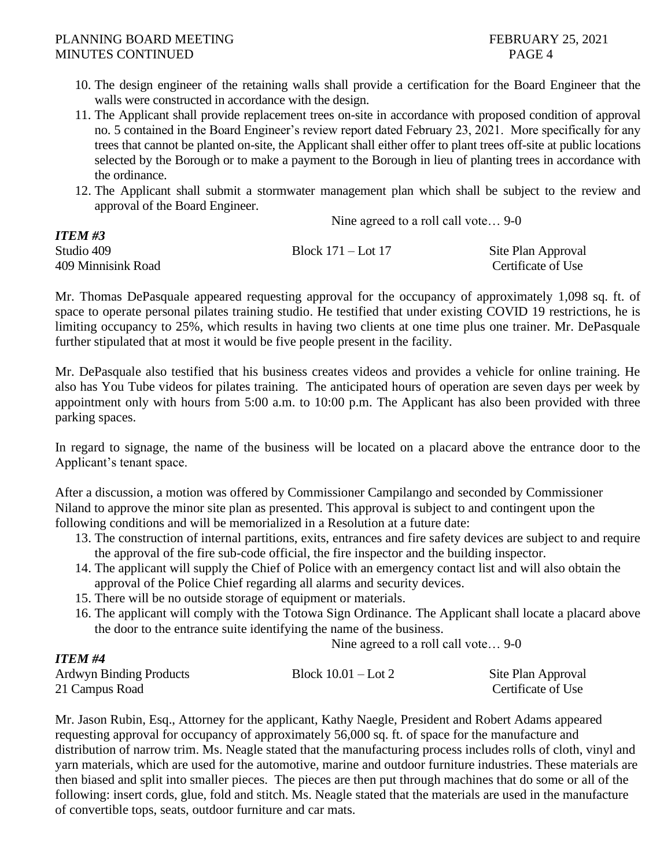- 10. The design engineer of the retaining walls shall provide a certification for the Board Engineer that the walls were constructed in accordance with the design.
- 11. The Applicant shall provide replacement trees on-site in accordance with proposed condition of approval no. 5 contained in the Board Engineer's review report dated February 23, 2021. More specifically for any trees that cannot be planted on-site, the Applicant shall either offer to plant trees off-site at public locations selected by the Borough or to make a payment to the Borough in lieu of planting trees in accordance with the ordinance.
- 12. The Applicant shall submit a stormwater management plan which shall be subject to the review and approval of the Board Engineer.

Nine agreed to a roll call vote… 9-0

| <b>ITEM #3</b>     |                        |                    |
|--------------------|------------------------|--------------------|
| Studio 409         | Block $171 -$ Lot $17$ | Site Plan Approval |
| 409 Minnisink Road |                        | Certificate of Use |

Mr. Thomas DePasquale appeared requesting approval for the occupancy of approximately 1,098 sq. ft. of space to operate personal pilates training studio. He testified that under existing COVID 19 restrictions, he is limiting occupancy to 25%, which results in having two clients at one time plus one trainer. Mr. DePasquale further stipulated that at most it would be five people present in the facility.

Mr. DePasquale also testified that his business creates videos and provides a vehicle for online training. He also has You Tube videos for pilates training. The anticipated hours of operation are seven days per week by appointment only with hours from 5:00 a.m. to 10:00 p.m. The Applicant has also been provided with three parking spaces.

In regard to signage, the name of the business will be located on a placard above the entrance door to the Applicant's tenant space.

After a discussion, a motion was offered by Commissioner Campilango and seconded by Commissioner Niland to approve the minor site plan as presented. This approval is subject to and contingent upon the following conditions and will be memorialized in a Resolution at a future date:

- 13. The construction of internal partitions, exits, entrances and fire safety devices are subject to and require the approval of the fire sub-code official, the fire inspector and the building inspector.
- 14. The applicant will supply the Chief of Police with an emergency contact list and will also obtain the approval of the Police Chief regarding all alarms and security devices.
- 15. There will be no outside storage of equipment or materials.
- 16. The applicant will comply with the Totowa Sign Ordinance. The Applicant shall locate a placard above the door to the entrance suite identifying the name of the business.

Nine agreed to a roll call vote… 9-0

| 11 LW 11 T                     |                       |                    |
|--------------------------------|-----------------------|--------------------|
| <b>Ardwyn Binding Products</b> | Block $10.01 -$ Lot 2 | Site Plan Approval |
| 21 Campus Road                 |                       | Certificate of Use |

Mr. Jason Rubin, Esq., Attorney for the applicant, Kathy Naegle, President and Robert Adams appeared requesting approval for occupancy of approximately 56,000 sq. ft. of space for the manufacture and distribution of narrow trim. Ms. Neagle stated that the manufacturing process includes rolls of cloth, vinyl and yarn materials, which are used for the automotive, marine and outdoor furniture industries. These materials are then biased and split into smaller pieces. The pieces are then put through machines that do some or all of the following: insert cords, glue, fold and stitch. Ms. Neagle stated that the materials are used in the manufacture of convertible tops, seats, outdoor furniture and car mats.